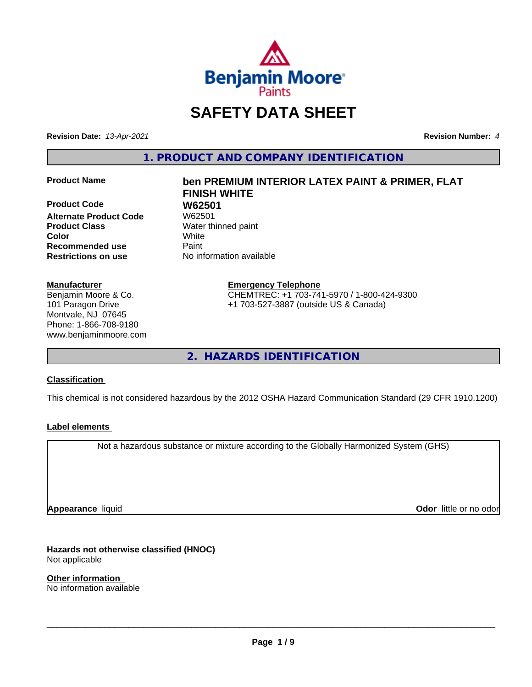

## **SAFETY DATA SHEET**

**Revision Date:** *13-Apr-2021* **Revision Number:** *4*

**1. PRODUCT AND COMPANY IDENTIFICATION**

**Product Code W62501 Alternate Product Code** W62501 **Product Class** Water thinned paint **Color** White **Recommended use Caint Restrictions on use** No information available

#### **Manufacturer**

Benjamin Moore & Co. 101 Paragon Drive Montvale, NJ 07645 Phone: 1-866-708-9180 www.benjaminmoore.com

# **Product Name ben PREMIUM INTERIOR LATEX PAINT & PRIMER, FLAT FINISH WHITE**

**Emergency Telephone** CHEMTREC: +1 703-741-5970 / 1-800-424-9300 +1 703-527-3887 (outside US & Canada)

**2. HAZARDS IDENTIFICATION**

#### **Classification**

This chemical is not considered hazardous by the 2012 OSHA Hazard Communication Standard (29 CFR 1910.1200)

#### **Label elements**

Not a hazardous substance or mixture according to the Globally Harmonized System (GHS)

**Appearance** liquid

**Odor** little or no odor

**Hazards not otherwise classified (HNOC)** Not applicable

**Other information** No information available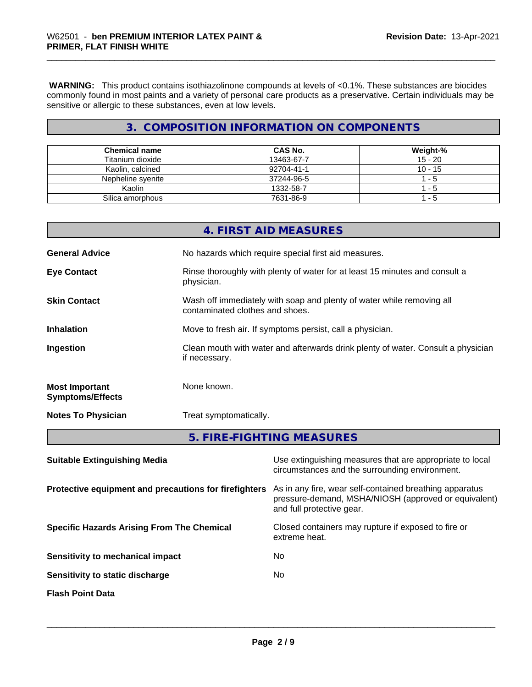**WARNING:** This product contains isothiazolinone compounds at levels of <0.1%. These substances are biocides commonly found in most paints and a variety of personal care products as a preservative. Certain individuals may be sensitive or allergic to these substances, even at low levels.

#### **3. COMPOSITION INFORMATION ON COMPONENTS**

| <b>Chemical name</b> | CAS No.    | Weight-%  |
|----------------------|------------|-----------|
| Titanium dioxide     | 13463-67-7 | $15 - 20$ |
| Kaolin, calcined     | 92704-41-1 | $10 - 15$ |
| Nepheline svenite    | 37244-96-5 | - 5       |
| Kaolin               | 1332-58-7  | - 5       |
| Silica amorphous     | 7631-86-9  | - 5       |

|                                                  | 5. FIRE-FIGHTING MEASURES                                                                                |
|--------------------------------------------------|----------------------------------------------------------------------------------------------------------|
| <b>Notes To Physician</b>                        | Treat symptomatically.                                                                                   |
| <b>Most Important</b><br><b>Symptoms/Effects</b> | None known.                                                                                              |
| Ingestion                                        | Clean mouth with water and afterwards drink plenty of water. Consult a physician<br>if necessary.        |
| <b>Inhalation</b>                                | Move to fresh air. If symptoms persist, call a physician.                                                |
| <b>Skin Contact</b>                              | Wash off immediately with soap and plenty of water while removing all<br>contaminated clothes and shoes. |
| <b>Eye Contact</b>                               | Rinse thoroughly with plenty of water for at least 15 minutes and consult a<br>physician.                |
| <b>General Advice</b>                            | No hazards which require special first aid measures.                                                     |
|                                                  | 4. FIRST AID MEASURES                                                                                    |

| <b>Suitable Extinguishing Media</b>                   | Use extinguishing measures that are appropriate to local<br>circumstances and the surrounding environment.                                   |
|-------------------------------------------------------|----------------------------------------------------------------------------------------------------------------------------------------------|
| Protective equipment and precautions for firefighters | As in any fire, wear self-contained breathing apparatus<br>pressure-demand, MSHA/NIOSH (approved or equivalent)<br>and full protective gear. |
| <b>Specific Hazards Arising From The Chemical</b>     | Closed containers may rupture if exposed to fire or<br>extreme heat.                                                                         |
| Sensitivity to mechanical impact                      | No                                                                                                                                           |
| Sensitivity to static discharge                       | No                                                                                                                                           |
| <b>Flash Point Data</b>                               |                                                                                                                                              |
|                                                       |                                                                                                                                              |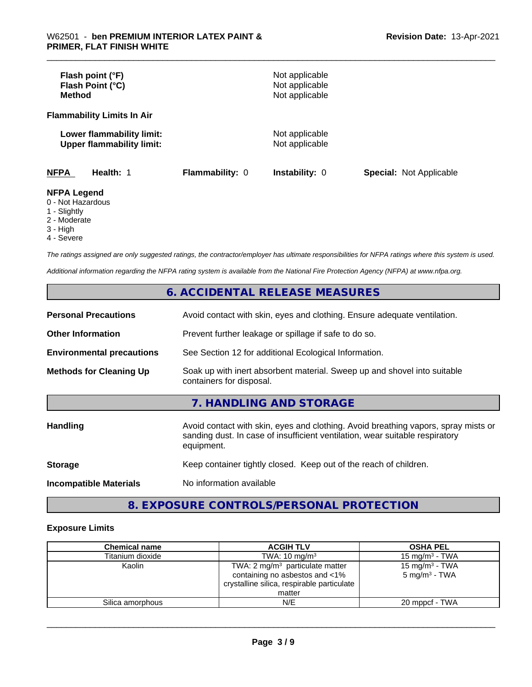| Flash point (°F)<br>Flash Point (°C)<br><b>Method</b>                  |                        | Not applicable<br>Not applicable<br>Not applicable |                                |
|------------------------------------------------------------------------|------------------------|----------------------------------------------------|--------------------------------|
| <b>Flammability Limits In Air</b>                                      |                        |                                                    |                                |
| Lower flammability limit:<br><b>Upper flammability limit:</b>          |                        | Not applicable<br>Not applicable                   |                                |
| <b>NFPA</b><br>Health: 1                                               | <b>Flammability: 0</b> | <b>Instability: 0</b>                              | <b>Special: Not Applicable</b> |
| <b>NFPA Legend</b><br>0 - Not Hazardous<br>$\overline{A}$ Clientals of |                        |                                                    |                                |

1 - Slightly

2 - Moderate

3 - High

4 - Severe

*The ratings assigned are only suggested ratings, the contractor/employer has ultimate responsibilities for NFPA ratings where this system is used.*

*Additional information regarding the NFPA rating system is available from the National Fire Protection Agency (NFPA) at www.nfpa.org.*

#### **6. ACCIDENTAL RELEASE MEASURES**

| <b>Personal Precautions</b>      | Avoid contact with skin, eyes and clothing. Ensure adequate ventilation.                                                                                                         |
|----------------------------------|----------------------------------------------------------------------------------------------------------------------------------------------------------------------------------|
| <b>Other Information</b>         | Prevent further leakage or spillage if safe to do so.                                                                                                                            |
| <b>Environmental precautions</b> | See Section 12 for additional Ecological Information.                                                                                                                            |
| <b>Methods for Cleaning Up</b>   | Soak up with inert absorbent material. Sweep up and shovel into suitable<br>containers for disposal.                                                                             |
|                                  | 7. HANDLING AND STORAGE                                                                                                                                                          |
| Handling                         | Avoid contact with skin, eyes and clothing. Avoid breathing vapors, spray mists or<br>sanding dust. In case of insufficient ventilation, wear suitable respiratory<br>equipment. |
| <b>Storage</b>                   | Keep container tightly closed. Keep out of the reach of children.                                                                                                                |
| <b>Incompatible Materials</b>    | No information available                                                                                                                                                         |

### **8. EXPOSURE CONTROLS/PERSONAL PROTECTION**

#### **Exposure Limits**

| <b>Chemical name</b> | <b>ACGIH TLV</b>                                                                                                           | <b>OSHA PEL</b>                               |
|----------------------|----------------------------------------------------------------------------------------------------------------------------|-----------------------------------------------|
| Titanium dioxide     | TWA: $10 \text{ mg/m}^3$                                                                                                   | 15 mg/m $3$ - TWA                             |
| Kaolin               | TWA: $2 \text{ mg/m}^3$ particulate matter<br>containing no asbestos and <1%<br>crystalline silica, respirable particulate | 15 mg/m $3$ - TWA<br>$5 \text{ mg/m}^3$ - TWA |
|                      | matter                                                                                                                     |                                               |
| Silica amorphous     | N/E                                                                                                                        | 20 mppcf - TWA                                |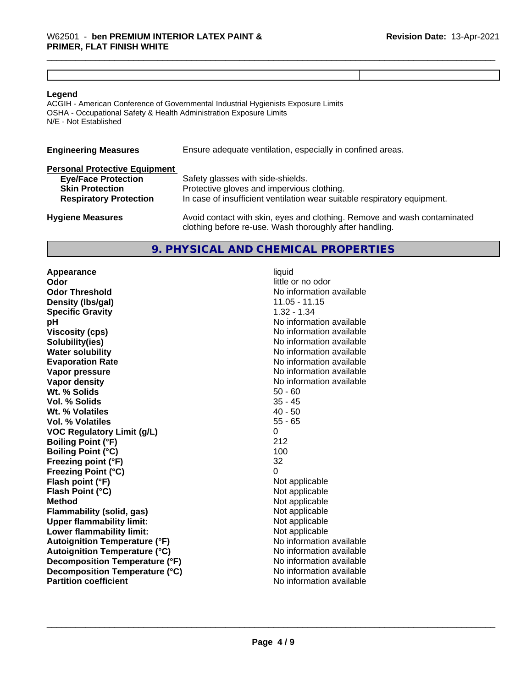#### **Legend**

ACGIH - American Conference of Governmental Industrial Hygienists Exposure Limits OSHA - Occupational Safety & Health Administration Exposure Limits N/E - Not Established

| <b>Engineering Measures</b>          | Ensure adequate ventilation, especially in confined areas.               |
|--------------------------------------|--------------------------------------------------------------------------|
| <b>Personal Protective Equipment</b> |                                                                          |
| <b>Eye/Face Protection</b>           | Safety glasses with side-shields.                                        |
| <b>Skin Protection</b>               | Protective gloves and impervious clothing.                               |
| <b>Respiratory Protection</b>        | In case of insufficient ventilation wear suitable respiratory equipment. |

**Hygiene Measures** Avoid contact with skin, eyes and clothing. Remove and wash contaminated clothing before re-use. Wash thoroughly after handling.

#### **9. PHYSICAL AND CHEMICAL PROPERTIES**

**Appearance** liquid **Odor** little or no odor **Odor Threshold No information available No information available Density (lbs/gal)** 11.05 - 11.15 **Specific Gravity** 1.32 - 1.34 **pH**<br>
Viscosity (cps) The Contract of the Contract of the Viscosity (cps) and Viscosity (cps) **Solubility(ies)** No information available in the solution of the solution of the solution available in the solution of the solution of the solution of the solution of the solution of the solution of the solution of the so **Water solubility Water solubility Water solubility Water solubility Water solubility Water solution Evaporation Rate No information available No information available Vapor pressure** No information available **Vapor density Vapor** density **Wt. % Solids** 50 - 60 **Vol. % Solids** 35 - 45<br> **Wt. % Volatiles** 35 - 45 **Wt. % Volatiles Vol. % Volatiles** 55 - 65 **VOC Regulatory Limit (g/L)** 0 **Boiling Point (°F)** 212 **Boiling Point (°C)** 100 **Freezing point (°F)** 32 **Freezing Point (°C)** 0<br> **Flash point (°F)** 0<br>
Not applicable **Flash point (°F)**<br> **Flash Point (°C)**<br> **Flash Point (°C)**<br> **C Flash Point (°C) Method**<br> **Flammability (solid, gas)**<br> **Example 2018** Not applicable **Flammability (solid, gas)** Not applicable<br> **Upper flammability limit:** Not applicable **Upper flammability limit:**<br> **Lower flammability limit:** Not applicable Not applicable **Lower flammability limit: Autoignition Temperature (°F)** No information available **Autoignition Temperature (°C)** No information available **Decomposition Temperature (°F)** No information available **Decomposition Temperature (°C)** No information available **Partition coefficient** No information available

**Viscosity (cps)** No information available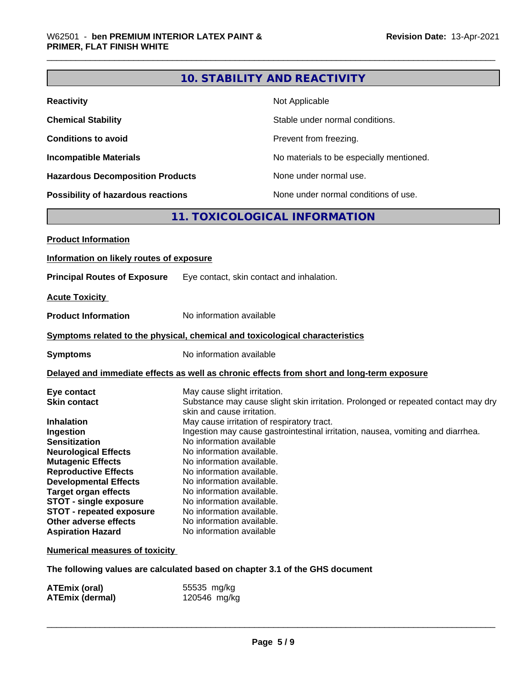|                                                                                                                                                                                                                                                                                                                                                                                | <b>10. STABILITY AND REACTIVITY</b>                                                                                                                                                                                                                                                                                                                                                                                                                                                                                                                                              |  |  |
|--------------------------------------------------------------------------------------------------------------------------------------------------------------------------------------------------------------------------------------------------------------------------------------------------------------------------------------------------------------------------------|----------------------------------------------------------------------------------------------------------------------------------------------------------------------------------------------------------------------------------------------------------------------------------------------------------------------------------------------------------------------------------------------------------------------------------------------------------------------------------------------------------------------------------------------------------------------------------|--|--|
| <b>Reactivity</b>                                                                                                                                                                                                                                                                                                                                                              | Not Applicable                                                                                                                                                                                                                                                                                                                                                                                                                                                                                                                                                                   |  |  |
| <b>Chemical Stability</b>                                                                                                                                                                                                                                                                                                                                                      | Stable under normal conditions.                                                                                                                                                                                                                                                                                                                                                                                                                                                                                                                                                  |  |  |
| <b>Conditions to avoid</b>                                                                                                                                                                                                                                                                                                                                                     | Prevent from freezing.                                                                                                                                                                                                                                                                                                                                                                                                                                                                                                                                                           |  |  |
| <b>Incompatible Materials</b>                                                                                                                                                                                                                                                                                                                                                  | No materials to be especially mentioned.                                                                                                                                                                                                                                                                                                                                                                                                                                                                                                                                         |  |  |
| <b>Hazardous Decomposition Products</b>                                                                                                                                                                                                                                                                                                                                        | None under normal use.                                                                                                                                                                                                                                                                                                                                                                                                                                                                                                                                                           |  |  |
| <b>Possibility of hazardous reactions</b>                                                                                                                                                                                                                                                                                                                                      | None under normal conditions of use.                                                                                                                                                                                                                                                                                                                                                                                                                                                                                                                                             |  |  |
|                                                                                                                                                                                                                                                                                                                                                                                | 11. TOXICOLOGICAL INFORMATION                                                                                                                                                                                                                                                                                                                                                                                                                                                                                                                                                    |  |  |
| <b>Product Information</b>                                                                                                                                                                                                                                                                                                                                                     |                                                                                                                                                                                                                                                                                                                                                                                                                                                                                                                                                                                  |  |  |
| Information on likely routes of exposure                                                                                                                                                                                                                                                                                                                                       |                                                                                                                                                                                                                                                                                                                                                                                                                                                                                                                                                                                  |  |  |
|                                                                                                                                                                                                                                                                                                                                                                                |                                                                                                                                                                                                                                                                                                                                                                                                                                                                                                                                                                                  |  |  |
| <b>Principal Routes of Exposure</b>                                                                                                                                                                                                                                                                                                                                            | Eye contact, skin contact and inhalation.                                                                                                                                                                                                                                                                                                                                                                                                                                                                                                                                        |  |  |
| <b>Acute Toxicity</b>                                                                                                                                                                                                                                                                                                                                                          |                                                                                                                                                                                                                                                                                                                                                                                                                                                                                                                                                                                  |  |  |
| <b>Product Information</b>                                                                                                                                                                                                                                                                                                                                                     | No information available                                                                                                                                                                                                                                                                                                                                                                                                                                                                                                                                                         |  |  |
|                                                                                                                                                                                                                                                                                                                                                                                | Symptoms related to the physical, chemical and toxicological characteristics                                                                                                                                                                                                                                                                                                                                                                                                                                                                                                     |  |  |
| <b>Symptoms</b>                                                                                                                                                                                                                                                                                                                                                                | No information available                                                                                                                                                                                                                                                                                                                                                                                                                                                                                                                                                         |  |  |
|                                                                                                                                                                                                                                                                                                                                                                                | Delayed and immediate effects as well as chronic effects from short and long-term exposure                                                                                                                                                                                                                                                                                                                                                                                                                                                                                       |  |  |
| Eye contact<br><b>Skin contact</b><br><b>Inhalation</b><br>Ingestion<br><b>Sensitization</b><br><b>Neurological Effects</b><br><b>Mutagenic Effects</b><br><b>Reproductive Effects</b><br><b>Developmental Effects</b><br><b>Target organ effects</b><br><b>STOT - single exposure</b><br><b>STOT - repeated exposure</b><br>Other adverse effects<br><b>Aspiration Hazard</b> | May cause slight irritation.<br>Substance may cause slight skin irritation. Prolonged or repeated contact may dry<br>skin and cause irritation.<br>May cause irritation of respiratory tract.<br>Ingestion may cause gastrointestinal irritation, nausea, vomiting and diarrhea.<br>No information available<br>No information available.<br>No information available.<br>No information available.<br>No information available.<br>No information available.<br>No information available.<br>No information available.<br>No information available.<br>No information available |  |  |
| <b>Numerical measures of toxicity</b>                                                                                                                                                                                                                                                                                                                                          |                                                                                                                                                                                                                                                                                                                                                                                                                                                                                                                                                                                  |  |  |
|                                                                                                                                                                                                                                                                                                                                                                                | The following values are calculated based on chapter 3.1 of the GHS document                                                                                                                                                                                                                                                                                                                                                                                                                                                                                                     |  |  |

| ATEmix (oral)          | 55535 mg/kg  |
|------------------------|--------------|
| <b>ATEmix (dermal)</b> | 120546 mg/kg |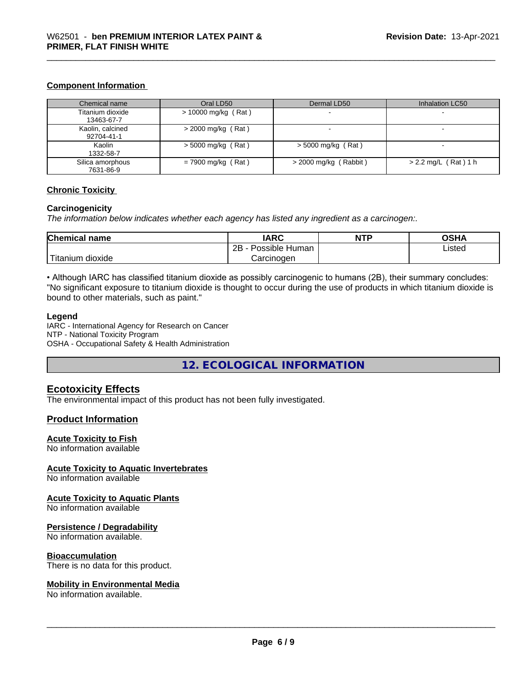#### **Component Information**

| Chemical name                  | Oral LD50             | Dermal LD50              | Inhalation LC50        |
|--------------------------------|-----------------------|--------------------------|------------------------|
| Titanium dioxide<br>13463-67-7 | $> 10000$ mg/kg (Rat) | $\overline{\phantom{a}}$ |                        |
| Kaolin, calcined<br>92704-41-1 | $>$ 2000 mg/kg (Rat)  |                          |                        |
| Kaolin<br>1332-58-7            | $>$ 5000 mg/kg (Rat)  | $>$ 5000 mg/kg (Rat)     |                        |
| Silica amorphous<br>7631-86-9  | $= 7900$ mg/kg (Rat)  | $>$ 2000 mg/kg (Rabbit)  | $> 2.2$ mg/L (Rat) 1 h |

#### **Chronic Toxicity**

#### **Carcinogenicity**

*The information below indicateswhether each agency has listed any ingredient as a carcinogen:.*

| Chemical<br>name                                                                                                                                | <b>IARC</b>                           | <b>NTP</b> | ດຂ⊔∧<br>,<br>JJ⊓r |
|-------------------------------------------------------------------------------------------------------------------------------------------------|---------------------------------------|------------|-------------------|
|                                                                                                                                                 | . .<br>2P<br>Human<br>Possible<br>ناک |            | ∟isted            |
| <b>The Contract of the Contract of the Contract of the Contract of the Contract of the Contract of the Contract o</b><br>m dioxide<br>l itanıum | Carcinoɑen                            |            |                   |

• Although IARC has classified titanium dioxide as possibly carcinogenic to humans (2B), their summary concludes: "No significant exposure to titanium dioxide is thought to occur during the use of products in which titanium dioxide is bound to other materials, such as paint."

#### **Legend**

IARC - International Agency for Research on Cancer NTP - National Toxicity Program OSHA - Occupational Safety & Health Administration

**12. ECOLOGICAL INFORMATION**

#### **Ecotoxicity Effects**

The environmental impact of this product has not been fully investigated.

#### **Product Information**

#### **Acute Toxicity to Fish**

No information available

#### **Acute Toxicity to Aquatic Invertebrates**

No information available

#### **Acute Toxicity to Aquatic Plants**

No information available

#### **Persistence / Degradability**

No information available.

#### **Bioaccumulation**

There is no data for this product.

#### **Mobility in Environmental Media**

No information available.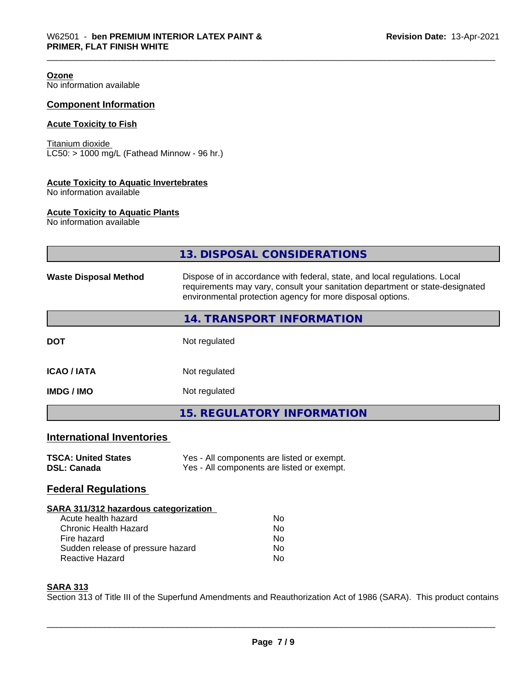| Ozone<br>No information available                                          |                                                                                                                                                                                                                           |
|----------------------------------------------------------------------------|---------------------------------------------------------------------------------------------------------------------------------------------------------------------------------------------------------------------------|
| <b>Component Information</b>                                               |                                                                                                                                                                                                                           |
| <b>Acute Toxicity to Fish</b>                                              |                                                                                                                                                                                                                           |
| Titanium dioxide<br>$LC50:$ > 1000 mg/L (Fathead Minnow - 96 hr.)          |                                                                                                                                                                                                                           |
| <b>Acute Toxicity to Aquatic Invertebrates</b><br>No information available |                                                                                                                                                                                                                           |
| <b>Acute Toxicity to Aquatic Plants</b><br>No information available        |                                                                                                                                                                                                                           |
|                                                                            | 13. DISPOSAL CONSIDERATIONS                                                                                                                                                                                               |
| <b>Waste Disposal Method</b>                                               | Dispose of in accordance with federal, state, and local regulations. Local<br>requirements may vary, consult your sanitation department or state-designated<br>environmental protection agency for more disposal options. |
|                                                                            | 14. TRANSPORT INFORMATION                                                                                                                                                                                                 |
| <b>DOT</b>                                                                 | Not regulated                                                                                                                                                                                                             |
| <b>ICAO / IATA</b>                                                         | Not regulated                                                                                                                                                                                                             |
| <b>IMDG/IMO</b>                                                            | Not regulated                                                                                                                                                                                                             |
|                                                                            | <b>15. REGULATORY INFORMATION</b>                                                                                                                                                                                         |
| <b>International Inventories</b>                                           |                                                                                                                                                                                                                           |
| <b>TSCA: United States</b><br><b>DSL: Canada</b>                           | Yes - All components are listed or exempt.<br>Yes - All components are listed or exempt.                                                                                                                                  |
| <b>Federal Regulations</b>                                                 |                                                                                                                                                                                                                           |
| SARA 311/312 hazardous categorization                                      |                                                                                                                                                                                                                           |

| Acute health hazard               | N٥ |
|-----------------------------------|----|
| Chronic Health Hazard             | N٥ |
| Fire hazard                       | N٥ |
| Sudden release of pressure hazard | N٥ |
| Reactive Hazard                   | N٥ |

#### **SARA 313**

Section 313 of Title III of the Superfund Amendments and Reauthorization Act of 1986 (SARA). This product contains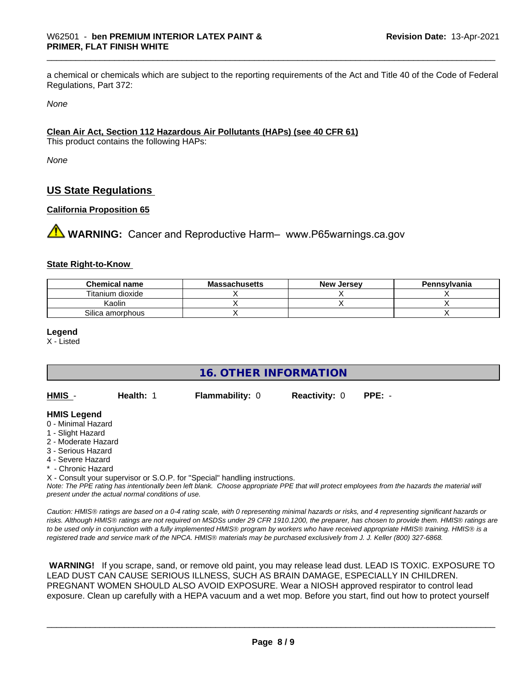a chemical or chemicals which are subject to the reporting requirements of the Act and Title 40 of the Code of Federal Regulations, Part 372:

*None*

#### **Clean Air Act,Section 112 Hazardous Air Pollutants (HAPs) (see 40 CFR 61)**

This product contains the following HAPs:

*None*

#### **US State Regulations**

#### **California Proposition 65**

**A WARNING:** Cancer and Reproductive Harm– www.P65warnings.ca.gov

#### **State Right-to-Know**

| <b>Chemical name</b> | <b>Massachusetts</b> | <b>New Jersey</b> | Pennsylvania |
|----------------------|----------------------|-------------------|--------------|
| Titanium dioxide     |                      |                   |              |
| Kaolin               |                      |                   |              |
| Silica amorphous     |                      |                   |              |

**Legend**

X - Listed

**16. OTHER INFORMATION**

| HMIS - | Health: 1 | <b>Flammability: 0</b> | <b>Reactivity: 0 PPE: -</b> |  |
|--------|-----------|------------------------|-----------------------------|--|
|        |           |                        |                             |  |

#### **HMIS Legend**

- 0 Minimal Hazard
- 1 Slight Hazard
- 2 Moderate Hazard
- 3 Serious Hazard
- 4 Severe Hazard
- \* Chronic Hazard

X - Consult your supervisor or S.O.P. for "Special" handling instructions.

*Note: The PPE rating has intentionally been left blank. Choose appropriate PPE that will protect employees from the hazards the material will present under the actual normal conditions of use.*

*Caution: HMISÒ ratings are based on a 0-4 rating scale, with 0 representing minimal hazards or risks, and 4 representing significant hazards or risks. Although HMISÒ ratings are not required on MSDSs under 29 CFR 1910.1200, the preparer, has chosen to provide them. HMISÒ ratings are to be used only in conjunction with a fully implemented HMISÒ program by workers who have received appropriate HMISÒ training. HMISÒ is a registered trade and service mark of the NPCA. HMISÒ materials may be purchased exclusively from J. J. Keller (800) 327-6868.*

 **WARNING!** If you scrape, sand, or remove old paint, you may release lead dust. LEAD IS TOXIC. EXPOSURE TO LEAD DUST CAN CAUSE SERIOUS ILLNESS, SUCH AS BRAIN DAMAGE, ESPECIALLY IN CHILDREN. PREGNANT WOMEN SHOULD ALSO AVOID EXPOSURE.Wear a NIOSH approved respirator to control lead exposure. Clean up carefully with a HEPA vacuum and a wet mop. Before you start, find out how to protect yourself